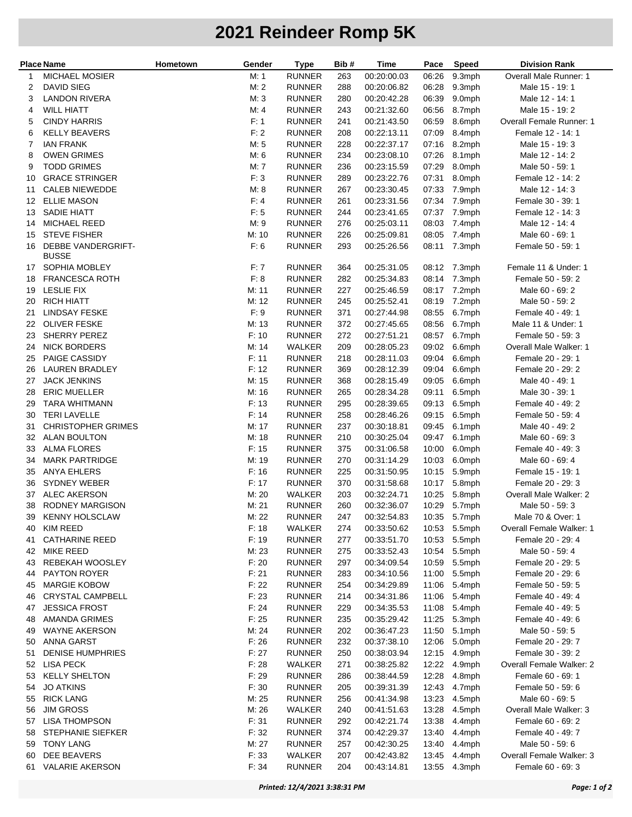## **2021 Reindeer Romp 5K**

| <b>Place Name</b> |                                    | Hometown | Gender | <b>Type</b>   | Bib # | <b>Time</b> | Pace  | <b>Speed</b> | <b>Division Rank</b>     |
|-------------------|------------------------------------|----------|--------|---------------|-------|-------------|-------|--------------|--------------------------|
| 1                 | <b>MICHAEL MOSIER</b>              |          | M: 1   | <b>RUNNER</b> | 263   | 00:20:00.03 | 06:26 | 9.3mph       | Overall Male Runner: 1   |
| 2                 | <b>DAVID SIEG</b>                  |          | M: 2   | <b>RUNNER</b> | 288   | 00:20:06.82 | 06:28 | 9.3mph       | Male 15 - 19: 1          |
| 3                 | <b>LANDON RIVERA</b>               |          | M:3    | <b>RUNNER</b> | 280   | 00:20:42.28 | 06:39 | 9.0mph       | Male 12 - 14: 1          |
| 4                 | <b>WILL HIATT</b>                  |          | M: 4   | <b>RUNNER</b> | 243   | 00:21:32.60 | 06:56 | 8.7mph       | Male 15 - 19: 2          |
| 5                 | <b>CINDY HARRIS</b>                |          | F: 1   | <b>RUNNER</b> | 241   | 00:21:43.50 | 06:59 | 8.6mph       | Overall Female Runner: 1 |
| 6                 | <b>KELLY BEAVERS</b>               |          | F: 2   | <b>RUNNER</b> | 208   | 00:22:13.11 | 07:09 | 8.4mph       | Female 12 - 14: 1        |
| 7                 | <b>IAN FRANK</b>                   |          | M: 5   | <b>RUNNER</b> | 228   | 00:22:37.17 | 07:16 | 8.2mph       | Male 15 - 19: 3          |
| 8                 | <b>OWEN GRIMES</b>                 |          | M: 6   | <b>RUNNER</b> | 234   | 00:23:08.10 | 07:26 | 8.1mph       | Male 12 - 14: 2          |
| 9                 | <b>TODD GRIMES</b>                 |          | M: 7   | <b>RUNNER</b> | 236   | 00:23:15.59 | 07:29 | 8.0mph       | Male 50 - 59: 1          |
| 10                | <b>GRACE STRINGER</b>              |          | F: 3   | <b>RUNNER</b> | 289   | 00:23:22.76 | 07:31 | 8.0mph       | Female 12 - 14: 2        |
| 11                | <b>CALEB NIEWEDDE</b>              |          | M: 8   | <b>RUNNER</b> | 267   | 00:23:30.45 | 07:33 | 7.9mph       | Male 12 - 14: 3          |
| 12                | <b>ELLIE MASON</b>                 |          | F: 4   | <b>RUNNER</b> | 261   | 00:23:31.56 | 07:34 | 7.9mph       | Female 30 - 39: 1        |
| 13                | <b>SADIE HIATT</b>                 |          | F: 5   | <b>RUNNER</b> | 244   | 00:23:41.65 | 07:37 | 7.9mph       | Female 12 - 14: 3        |
| 14                | MICHAEL REED                       |          | M:9    | <b>RUNNER</b> | 276   | 00:25:03.11 | 08:03 | 7.4mph       | Male 12 - 14: 4          |
| 15                | <b>STEVE FISHER</b>                |          | M: 10  | <b>RUNNER</b> | 226   | 00:25:09.81 | 08:05 | 7.4mph       | Male 60 - 69: 1          |
| 16                | DEBBE VANDERGRIFT-<br><b>BUSSE</b> |          | F: 6   | <b>RUNNER</b> | 293   | 00:25:26.56 | 08:11 | 7.3mph       | Female 50 - 59: 1        |
| 17                | SOPHIA MOBLEY                      |          | F: 7   | <b>RUNNER</b> | 364   | 00:25:31.05 |       | 08:12 7.3mph | Female 11 & Under: 1     |
| 18                | <b>FRANCESCA ROTH</b>              |          | F: 8   | <b>RUNNER</b> | 282   | 00:25:34.83 | 08:14 | 7.3mph       | Female 50 - 59: 2        |
| 19                | <b>LESLIE FIX</b>                  |          | M: 11  | <b>RUNNER</b> | 227   | 00:25:46.59 | 08:17 | 7.2mph       | Male 60 - 69: 2          |
| 20                | <b>RICH HIATT</b>                  |          | M: 12  | <b>RUNNER</b> | 245   | 00:25:52.41 | 08:19 | 7.2mph       | Male 50 - 59: 2          |
| 21                | <b>LINDSAY FESKE</b>               |          | F: 9   | <b>RUNNER</b> | 371   | 00:27:44.98 | 08:55 | 6.7mph       | Female 40 - 49: 1        |
| 22                | <b>OLIVER FESKE</b>                |          | M: 13  | <b>RUNNER</b> | 372   | 00:27:45.65 | 08:56 | 6.7mph       | Male 11 & Under: 1       |
| 23                | SHERRY PEREZ                       |          | F: 10  | <b>RUNNER</b> | 272   | 00:27:51.21 | 08:57 | 6.7mph       | Female 50 - 59: 3        |
| 24                | <b>NICK BORDERS</b>                |          | M: 14  | WALKER        | 209   | 00:28:05.23 | 09:02 | 6.6mph       | Overall Male Walker: 1   |
| 25                | PAIGE CASSIDY                      |          | F: 11  | <b>RUNNER</b> | 218   | 00:28:11.03 | 09:04 | 6.6mph       | Female 20 - 29: 1        |
| 26                | <b>LAUREN BRADLEY</b>              |          | F: 12  | <b>RUNNER</b> | 369   | 00:28:12.39 | 09:04 | 6.6mph       | Female 20 - 29: 2        |
| 27                | <b>JACK JENKINS</b>                |          | M: 15  | <b>RUNNER</b> | 368   | 00:28:15.49 | 09:05 | 6.6mph       | Male 40 - 49: 1          |
| 28                | <b>ERIC MUELLER</b>                |          | M: 16  | <b>RUNNER</b> | 265   | 00:28:34.28 | 09:11 | 6.5mph       | Male 30 - 39: 1          |
| 29                | <b>TARA WHITMANN</b>               |          | F: 13  | <b>RUNNER</b> | 295   | 00:28:39.65 | 09:13 | 6.5mph       | Female 40 - 49: 2        |
| 30                | <b>TERI LAVELLE</b>                |          | F: 14  | <b>RUNNER</b> | 258   | 00:28:46.26 | 09:15 | 6.5mph       | Female 50 - 59: 4        |
| 31                | <b>CHRISTOPHER GRIMES</b>          |          | M: 17  | <b>RUNNER</b> | 237   | 00:30:18.81 | 09:45 | 6.1mph       | Male 40 - 49: 2          |
| 32                | <b>ALAN BOULTON</b>                |          | M: 18  | <b>RUNNER</b> | 210   | 00:30:25.04 | 09:47 | 6.1mph       | Male 60 - 69: 3          |
| 33                | <b>ALMA FLORES</b>                 |          | F: 15  | <b>RUNNER</b> | 375   | 00:31:06.58 | 10:00 | 6.0mph       | Female 40 - 49: 3        |
| 34                | <b>MARK PARTRIDGE</b>              |          | M: 19  | <b>RUNNER</b> | 270   | 00:31:14.29 | 10:03 | 6.0mph       | Male 60 - 69: 4          |
| 35                | <b>ANYA EHLERS</b>                 |          | F: 16  | <b>RUNNER</b> | 225   | 00:31:50.95 | 10:15 | 5.9mph       | Female 15 - 19: 1        |
| 36                | <b>SYDNEY WEBER</b>                |          | F: 17  | <b>RUNNER</b> | 370   | 00:31:58.68 | 10:17 | 5.8mph       | Female 20 - 29: 3        |
| 37                | <b>ALEC AKERSON</b>                |          | M: 20  | WALKER        | 203   | 00:32:24.71 | 10:25 | 5.8mph       | Overall Male Walker: 2   |
| 38                | <b>RODNEY MARGISON</b>             |          | M: 21  | <b>RUNNER</b> | 260   | 00:32:36.07 | 10:29 | 5.7mph       | Male 50 - 59: 3          |
| 39                | <b>KENNY HOLSCLAW</b>              |          | M: 22  | <b>RUNNER</b> | 247   | 00:32:54.83 |       | 10:35 5.7mph | Male 70 & Over: 1        |
| 40                | KIM REED                           |          | F: 18  | WALKER        | 274   | 00:33:50.62 |       | 10:53 5.5mph | Overall Female Walker: 1 |
| 41                | <b>CATHARINE REED</b>              |          | F: 19  | <b>RUNNER</b> | 277   | 00:33:51.70 |       | 10:53 5.5mph | Female 20 - 29: 4        |
| 42                | <b>MIKE REED</b>                   |          | M: 23  | <b>RUNNER</b> | 275   | 00:33:52.43 | 10:54 | 5.5mph       | Male 50 - 59: 4          |
| 43                | REBEKAH WOOSLEY                    |          | F: 20  | <b>RUNNER</b> | 297   | 00:34:09.54 | 10:59 | 5.5mph       | Female 20 - 29: 5        |
| 44                | PAYTON ROYER                       |          | F: 21  | <b>RUNNER</b> | 283   | 00:34:10.56 | 11:00 | 5.5mph       | Female 20 - 29: 6        |
| 45                | <b>MARGIE KOBOW</b>                |          | F: 22  | <b>RUNNER</b> | 254   | 00:34:29.89 | 11:06 | 5.4mph       | Female 50 - 59: 5        |
| 46                | <b>CRYSTAL CAMPBELL</b>            |          | F: 23  | <b>RUNNER</b> | 214   | 00:34:31.86 | 11:06 | 5.4mph       | Female 40 - 49: 4        |
| 47                | <b>JESSICA FROST</b>               |          | F: 24  | <b>RUNNER</b> | 229   | 00:34:35.53 | 11:08 | 5.4mph       | Female 40 - 49: 5        |
| 48                | <b>AMANDA GRIMES</b>               |          | F: 25  | <b>RUNNER</b> | 235   | 00:35:29.42 | 11:25 | 5.3mph       | Female 40 - 49: 6        |
| 49                | <b>WAYNE AKERSON</b>               |          | M: 24  | <b>RUNNER</b> | 202   | 00:36:47.23 | 11:50 | 5.1mph       | Male 50 - 59: 5          |
| 50                | ANNA GARST                         |          | F: 26  | <b>RUNNER</b> | 232   | 00:37:38.10 | 12:06 | 5.0mph       | Female 20 - 29: 7        |
| 51                | <b>DENISE HUMPHRIES</b>            |          | F: 27  | <b>RUNNER</b> | 250   | 00:38:03.94 | 12:15 | 4.9mph       | Female 30 - 39: 2        |
| 52                | <b>LISA PECK</b>                   |          | F: 28  | WALKER        | 271   | 00:38:25.82 | 12:22 | 4.9mph       | Overall Female Walker: 2 |
| 53                | <b>KELLY SHELTON</b>               |          | F: 29  | <b>RUNNER</b> | 286   | 00:38:44.59 | 12:28 | 4.8mph       | Female 60 - 69: 1        |
| 54                | <b>JO ATKINS</b>                   |          | F: 30  | <b>RUNNER</b> | 205   | 00:39:31.39 | 12:43 | 4.7mph       | Female 50 - 59: 6        |
| 55                | <b>RICK LANG</b>                   |          | M: 25  | <b>RUNNER</b> | 256   | 00:41:34.98 | 13:23 | 4.5mph       | Male 60 - 69: 5          |
| 56                | <b>JIM GROSS</b>                   |          | M: 26  | WALKER        | 240   | 00:41:51.63 | 13:28 | 4.5mph       | Overall Male Walker: 3   |
| 57                | <b>LISA THOMPSON</b>               |          | F: 31  | <b>RUNNER</b> | 292   | 00:42:21.74 | 13:38 | 4.4mph       | Female 60 - 69: 2        |
| 58                | STEPHANIE SIEFKER                  |          | F: 32  | <b>RUNNER</b> | 374   | 00:42:29.37 | 13:40 | 4.4mph       | Female 40 - 49: 7        |
| 59                | <b>TONY LANG</b>                   |          | M: 27  | <b>RUNNER</b> | 257   | 00:42:30.25 | 13:40 | 4.4mph       | Male 50 - 59: 6          |
| 60                | DEE BEAVERS                        |          | F: 33  | WALKER        | 207   | 00:42:43.82 | 13:45 | 4.4mph       | Overall Female Walker: 3 |
|                   | 61 VALARIE AKERSON                 |          | F: 34  | <b>RUNNER</b> | 204   | 00:43:14.81 |       | 13:55 4.3mph | Female 60 - 69: 3        |
|                   |                                    |          |        |               |       |             |       |              |                          |